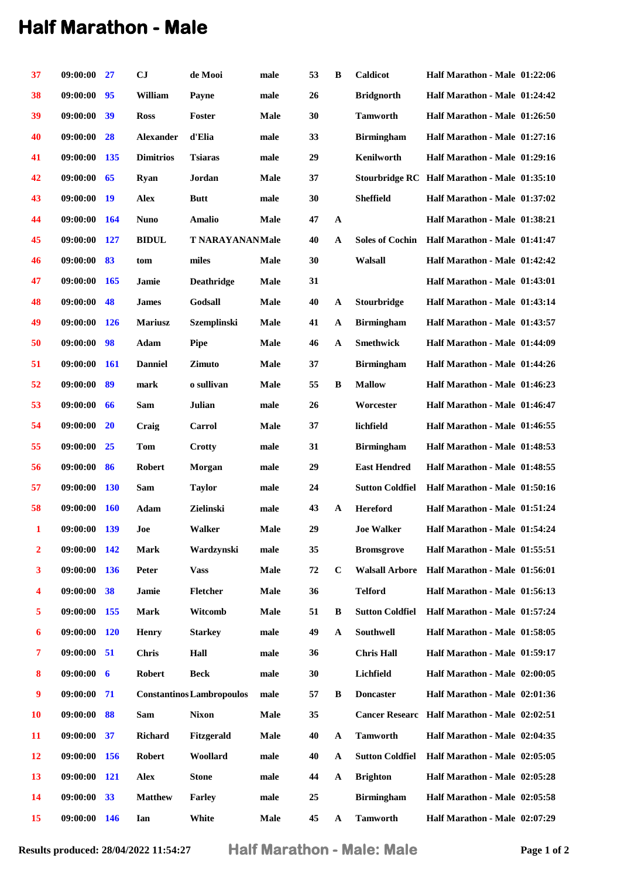## **Half Marathon - Male**

| 37        | 09:00:00     | 27                      | CJ               | de Mooi                          | male          | 53 | B            | Caldicot               | Half Marathon - Male 01:22:06                |  |
|-----------|--------------|-------------------------|------------------|----------------------------------|---------------|----|--------------|------------------------|----------------------------------------------|--|
| 38        | 09:00:00     | 95                      | William          | Payne                            | male          | 26 |              | <b>Bridgnorth</b>      | Half Marathon - Male 01:24:42                |  |
| 39        | 09:00:00     | 39                      | <b>Ross</b>      | Foster                           | <b>Male</b>   | 30 |              | <b>Tamworth</b>        | Half Marathon - Male 01:26:50                |  |
| 40        | 09:00:00     | 28                      | <b>Alexander</b> | d'Elia                           | male          | 33 |              | <b>Birmingham</b>      | Half Marathon - Male 01:27:16                |  |
| 41        | 09:00:00     | <b>135</b>              | <b>Dimitrios</b> | <b>Tsiaras</b>                   | male          | 29 |              | Kenilworth             | Half Marathon - Male 01:29:16                |  |
| 42        | 09:00:00     | 65                      | Ryan             | Jordan                           | <b>Male</b>   | 37 |              |                        | Stourbridge RC Half Marathon - Male 01:35:10 |  |
| 43        | 09:00:00     | -19                     | <b>Alex</b>      | <b>Butt</b>                      | male          | 30 |              | <b>Sheffield</b>       | Half Marathon - Male 01:37:02                |  |
| 44        | 09:00:00     | 164                     | <b>Nuno</b>      | <b>Amalio</b>                    | Male          | 47 | $\mathbf{A}$ |                        | Half Marathon - Male 01:38:21                |  |
| 45        | 09:00:00     | 127                     | <b>BIDUL</b>     | <b>T NARAYANANMale</b>           |               | 40 | $\mathbf{A}$ | <b>Soles of Cochin</b> | Half Marathon - Male 01:41:47                |  |
| 46        | 09:00:00     | 83                      | tom              | miles                            | Male          | 30 |              | Walsall                | Half Marathon - Male 01:42:42                |  |
| 47        | 09:00:00     | 165                     | Jamie            | <b>Deathridge</b>                | Male          | 31 |              |                        | Half Marathon - Male 01:43:01                |  |
| 48        | 09:00:00     | 48                      | <b>James</b>     | Godsall                          | Male          | 40 | A            | Stourbridge            | Half Marathon - Male 01:43:14                |  |
| 49        | 09:00:00     | <b>126</b>              | <b>Mariusz</b>   | <b>Szemplinski</b>               | Male          | 41 | $\mathbf{A}$ | <b>Birmingham</b>      | Half Marathon - Male 01:43:57                |  |
| 50        | 09:00:00     | 98                      | Adam             | <b>Pipe</b>                      | <b>Male</b>   | 46 | $\mathbf{A}$ | <b>Smethwick</b>       | Half Marathon - Male 01:44:09                |  |
| 51        | 09:00:00     | <b>161</b>              | <b>Danniel</b>   | <b>Zimuto</b>                    | Male          | 37 |              | <b>Birmingham</b>      | Half Marathon - Male 01:44:26                |  |
| 52        | 09:00:00     | 89                      | mark             | o sullivan                       | Male          | 55 | B            | <b>Mallow</b>          | Half Marathon - Male 01:46:23                |  |
| 53        | 09:00:00     | 66                      | Sam              | Julian                           | male          | 26 |              | Worcester              | Half Marathon - Male 01:46:47                |  |
| 54        | 09:00:00     | <b>20</b>               | Craig            | Carrol                           | Male          | 37 |              | lichfield              | Half Marathon - Male 01:46:55                |  |
| 55        | 09:00:00     | 25                      | Tom              | Crotty                           | male          | 31 |              | <b>Birmingham</b>      | Half Marathon - Male 01:48:53                |  |
| 56        | 09:00:00     | 86                      | <b>Robert</b>    | Morgan                           | male          | 29 |              | <b>East Hendred</b>    | Half Marathon - Male 01:48:55                |  |
| 57        | 09:00:00     | <b>130</b>              | Sam              | <b>Taylor</b>                    | $_{\rm male}$ | 24 |              | <b>Sutton Coldfiel</b> | Half Marathon - Male 01:50:16                |  |
| 58        | 09:00:00     | <b>160</b>              | Adam             | Zielinski                        | male          | 43 | A            | <b>Hereford</b>        | Half Marathon - Male 01:51:24                |  |
| 1         | 09:00:00     | <b>139</b>              | Joe              | <b>Walker</b>                    | Male          | 29 |              | <b>Joe Walker</b>      | Half Marathon - Male 01:54:24                |  |
| 2         | 09:00:00     | 142                     | <b>Mark</b>      | Wardzynski                       | male          | 35 |              | <b>Bromsgrove</b>      | Half Marathon - Male 01:55:51                |  |
| 3         | 09:00:00     | <b>136</b>              | Peter            | <b>Vass</b>                      | Male          | 72 | $\mathbf C$  | <b>Walsall Arbore</b>  | Half Marathon - Male 01:56:01                |  |
| 4         | 09:00:00     | 38                      | Jamie            | Fletcher                         | Male          | 36 |              | <b>Telford</b>         | Half Marathon - Male 01:56:13                |  |
| 5         | 09:00:00     | 155                     | <b>Mark</b>      | Witcomb                          | Male          | 51 | B            | <b>Sutton Coldfiel</b> | Half Marathon - Male 01:57:24                |  |
| 6         | 09:00:00     | <b>120</b>              | <b>Henry</b>     | <b>Starkey</b>                   | male          | 49 | $\mathbf A$  | Southwell              | Half Marathon - Male 01:58:05                |  |
| 7         | 09:00:00     | 51                      | <b>Chris</b>     | Hall                             | male          | 36 |              | <b>Chris Hall</b>      | Half Marathon - Male 01:59:17                |  |
| 8         | 09:00:00     | $\overline{\mathbf{6}}$ | <b>Robert</b>    | <b>Beck</b>                      | male          | 30 |              | Lichfield              | Half Marathon - Male 02:00:05                |  |
| 9         | 09:00:00     | 71                      |                  | <b>Constantinos Lambropoulos</b> | male          | 57 | B            | <b>Doncaster</b>       | Half Marathon - Male 02:01:36                |  |
| <b>10</b> | 09:00:00     | 88                      | Sam              | <b>Nixon</b>                     | <b>Male</b>   | 35 |              |                        | Cancer Researc Half Marathon - Male 02:02:51 |  |
| 11        | 09:00:00     | 37                      | <b>Richard</b>   | Fitzgerald                       | <b>Male</b>   | 40 | $\mathbf A$  | <b>Tamworth</b>        | Half Marathon - Male 02:04:35                |  |
| 12        | 09:00:00     | <b>156</b>              | <b>Robert</b>    | Woollard                         | male          | 40 | $\mathbf A$  | <b>Sutton Coldfiel</b> | Half Marathon - Male 02:05:05                |  |
| 13        | 09:00:00     | <b>121</b>              | <b>Alex</b>      | <b>Stone</b>                     | male          | 44 | A            | <b>Brighton</b>        | Half Marathon - Male 02:05:28                |  |
| 14        | 09:00:00     | 33                      | <b>Matthew</b>   | <b>Farley</b>                    | male          | 25 |              | <b>Birmingham</b>      | Half Marathon - Male 02:05:58                |  |
| 15        | 09:00:00 146 |                         | Ian              | White                            | Male          | 45 | $\mathbf{A}$ | <b>Tamworth</b>        | Half Marathon - Male 02:07:29                |  |